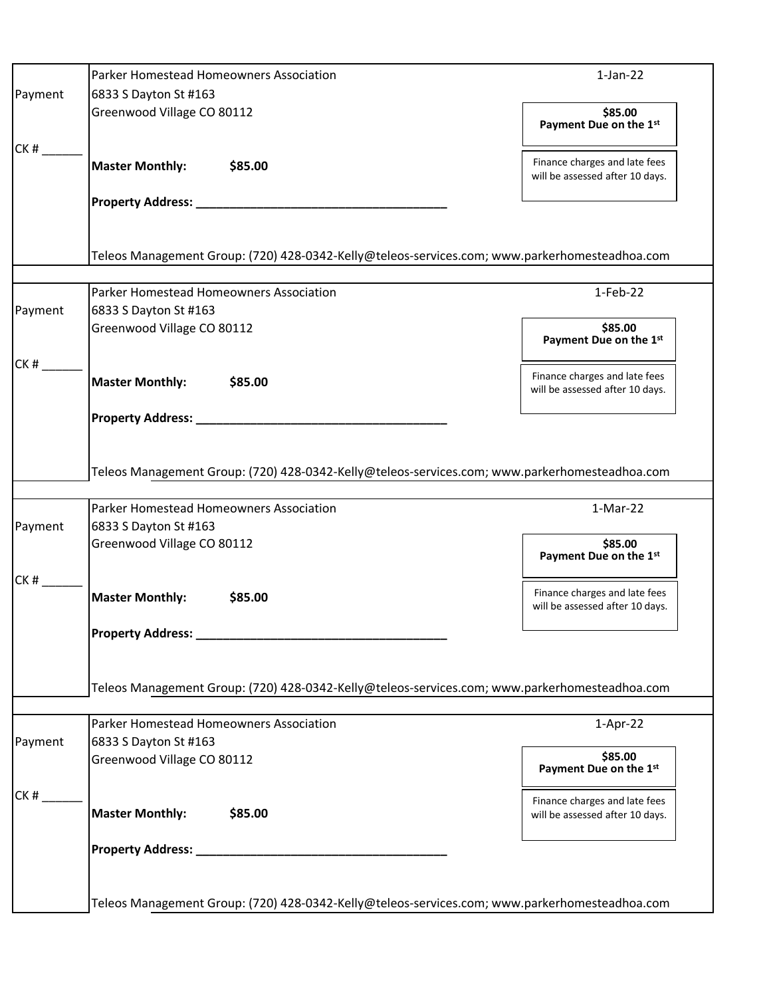|         | Parker Homestead Homeowners Association                                                       | $1-Jan-22$                                                       |
|---------|-----------------------------------------------------------------------------------------------|------------------------------------------------------------------|
| Payment | 6833 S Dayton St #163                                                                         |                                                                  |
|         | Greenwood Village CO 80112                                                                    | \$85.00<br>Payment Due on the 1st                                |
| CK#     | <b>Master Monthly:</b><br>\$85.00                                                             | Finance charges and late fees<br>will be assessed after 10 days. |
|         | Property Address: _________                                                                   |                                                                  |
|         |                                                                                               |                                                                  |
|         | Teleos Management Group: (720) 428-0342-Kelly@teleos-services.com; www.parkerhomesteadhoa.com |                                                                  |
|         | Parker Homestead Homeowners Association                                                       | $1-Feb-22$                                                       |
| Payment | 6833 S Dayton St #163                                                                         |                                                                  |
|         | Greenwood Village CO 80112                                                                    | \$85.00<br>Payment Due on the 1st                                |
| CK#     |                                                                                               | Finance charges and late fees                                    |
|         | <b>Master Monthly:</b><br>\$85.00                                                             | will be assessed after 10 days.                                  |
|         |                                                                                               |                                                                  |
|         |                                                                                               |                                                                  |
|         | Teleos Management Group: (720) 428-0342-Kelly@teleos-services.com; www.parkerhomesteadhoa.com |                                                                  |
|         | Parker Homestead Homeowners Association                                                       | 1-Mar-22                                                         |
| Payment | 6833 S Dayton St #163                                                                         |                                                                  |
|         | Greenwood Village CO 80112                                                                    | \$85.00<br>Payment Due on the 1st                                |
| CK#     |                                                                                               | Finance charges and late fees                                    |
|         | <b>Master Monthly:</b><br>\$85.00                                                             | will be assessed after 10 days.                                  |
|         | <b>Property Address:</b>                                                                      |                                                                  |
|         |                                                                                               |                                                                  |
|         |                                                                                               |                                                                  |
|         | Teleos Management Group: (720) 428-0342-Kelly@teleos-services.com; www.parkerhomesteadhoa.com |                                                                  |
|         | Parker Homestead Homeowners Association                                                       | $1-Apr-22$                                                       |
| Payment | 6833 S Dayton St #163                                                                         |                                                                  |
|         | Greenwood Village CO 80112                                                                    | \$85.00<br>Payment Due on the 1st                                |
| CK#     |                                                                                               | Finance charges and late fees                                    |
|         | <b>Master Monthly:</b><br>\$85.00                                                             | will be assessed after 10 days.                                  |
|         |                                                                                               |                                                                  |
|         |                                                                                               |                                                                  |
|         |                                                                                               |                                                                  |
|         | Teleos Management Group: (720) 428-0342-Kelly@teleos-services.com; www.parkerhomesteadhoa.com |                                                                  |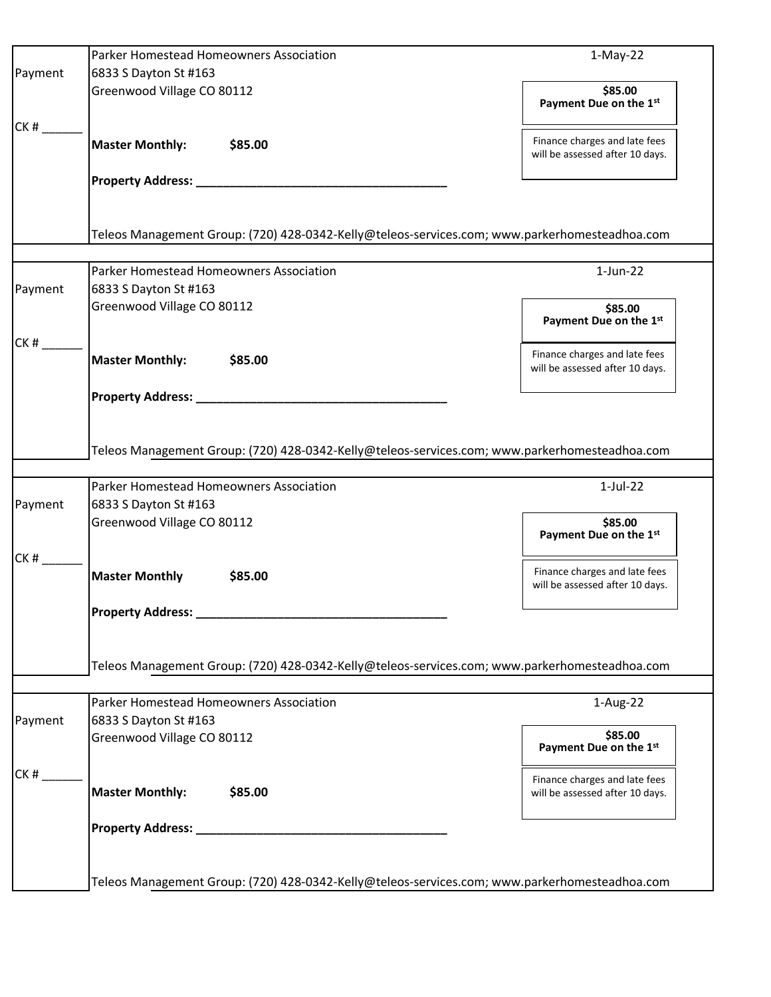|         | Parker Homestead Homeowners Association                                                                                   | $1-May-22$                                                       |
|---------|---------------------------------------------------------------------------------------------------------------------------|------------------------------------------------------------------|
| Payment | 6833 S Dayton St #163                                                                                                     |                                                                  |
|         | Greenwood Village CO 80112                                                                                                | \$85.00<br>Payment Due on the 1st                                |
| CK#     | <b>Master Monthly:</b><br>\$85.00                                                                                         | Finance charges and late fees<br>will be assessed after 10 days. |
|         | Property Address: National Property Address:                                                                              |                                                                  |
|         | Teleos Management Group: (720) 428-0342-Kelly@teleos-services.com; www.parkerhomesteadhoa.com                             |                                                                  |
|         |                                                                                                                           |                                                                  |
|         | Parker Homestead Homeowners Association                                                                                   | $1$ -Jun-22                                                      |
| Payment | 6833 S Dayton St #163                                                                                                     |                                                                  |
|         | Greenwood Village CO 80112                                                                                                | \$85.00<br>Payment Due on the 1st                                |
| CK#     | <b>Master Monthly:</b><br>\$85.00                                                                                         | Finance charges and late fees<br>will be assessed after 10 days. |
|         |                                                                                                                           |                                                                  |
|         | Teleos Management Group: (720) 428-0342-Kelly@teleos-services.com; www.parkerhomesteadhoa.com                             |                                                                  |
|         | Parker Homestead Homeowners Association                                                                                   | $1-Jul-22$                                                       |
| Payment | 6833 S Dayton St #163                                                                                                     |                                                                  |
|         | Greenwood Village CO 80112                                                                                                | \$85.00<br>Payment Due on the 1st                                |
| CK #    | <b>Master Monthly</b><br>\$85.00                                                                                          | Finance charges and late fees<br>will be assessed after 10 days. |
|         |                                                                                                                           |                                                                  |
|         | <b>Property Address:</b><br>Teleos Management Group: (720) 428-0342-Kelly@teleos-services.com; www.parkerhomesteadhoa.com |                                                                  |
|         |                                                                                                                           |                                                                  |
| Payment | Parker Homestead Homeowners Association<br>6833 S Dayton St #163                                                          | 1-Aug-22                                                         |
|         | Greenwood Village CO 80112                                                                                                | \$85.00<br>Payment Due on the 1st                                |
| CK#     | <b>Master Monthly:</b><br>\$85.00                                                                                         | Finance charges and late fees<br>will be assessed after 10 days. |
|         |                                                                                                                           |                                                                  |
|         |                                                                                                                           |                                                                  |
|         | Teleos Management Group: (720) 428-0342-Kelly@teleos-services.com; www.parkerhomesteadhoa.com                             |                                                                  |